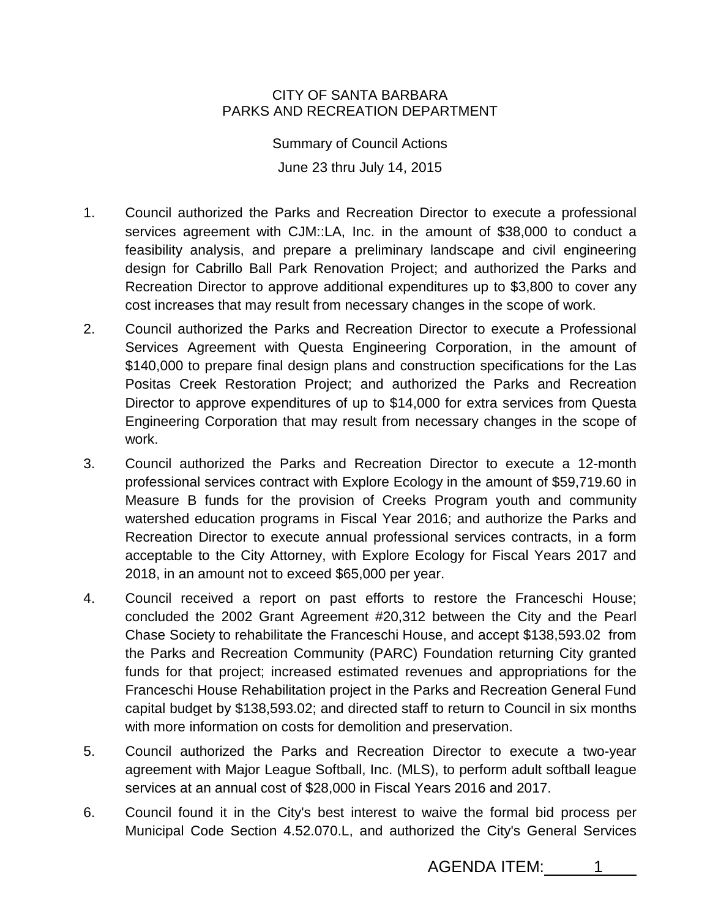## CITY OF SANTA BARBARA PARKS AND RECREATION DEPARTMENT

Summary of Council Actions June 23 thru July 14, 2015

- 1. Council authorized the Parks and Recreation Director to execute a professional services agreement with CJM::LA, Inc. in the amount of \$38,000 to conduct a feasibility analysis, and prepare a preliminary landscape and civil engineering design for Cabrillo Ball Park Renovation Project; and authorized the Parks and Recreation Director to approve additional expenditures up to \$3,800 to cover any cost increases that may result from necessary changes in the scope of work.
- 2. Council authorized the Parks and Recreation Director to execute a Professional Services Agreement with Questa Engineering Corporation, in the amount of \$140,000 to prepare final design plans and construction specifications for the Las Positas Creek Restoration Project; and authorized the Parks and Recreation Director to approve expenditures of up to \$14,000 for extra services from Questa Engineering Corporation that may result from necessary changes in the scope of work.
- 3. Council authorized the Parks and Recreation Director to execute a 12-month professional services contract with Explore Ecology in the amount of \$59,719.60 in Measure B funds for the provision of Creeks Program youth and community watershed education programs in Fiscal Year 2016; and authorize the Parks and Recreation Director to execute annual professional services contracts, in a form acceptable to the City Attorney, with Explore Ecology for Fiscal Years 2017 and 2018, in an amount not to exceed \$65,000 per year.
- 4. Council received a report on past efforts to restore the Franceschi House; concluded the 2002 Grant Agreement #20,312 between the City and the Pearl Chase Society to rehabilitate the Franceschi House, and accept \$138,593.02 from the Parks and Recreation Community (PARC) Foundation returning City granted funds for that project; increased estimated revenues and appropriations for the Franceschi House Rehabilitation project in the Parks and Recreation General Fund capital budget by \$138,593.02; and directed staff to return to Council in six months with more information on costs for demolition and preservation.
- 5. Council authorized the Parks and Recreation Director to execute a two-year agreement with Major League Softball, Inc. (MLS), to perform adult softball league services at an annual cost of \$28,000 in Fiscal Years 2016 and 2017.
- 6. Council found it in the City's best interest to waive the formal bid process per Municipal Code Section 4.52.070.L, and authorized the City's General Services

AGENDA ITEM: 1